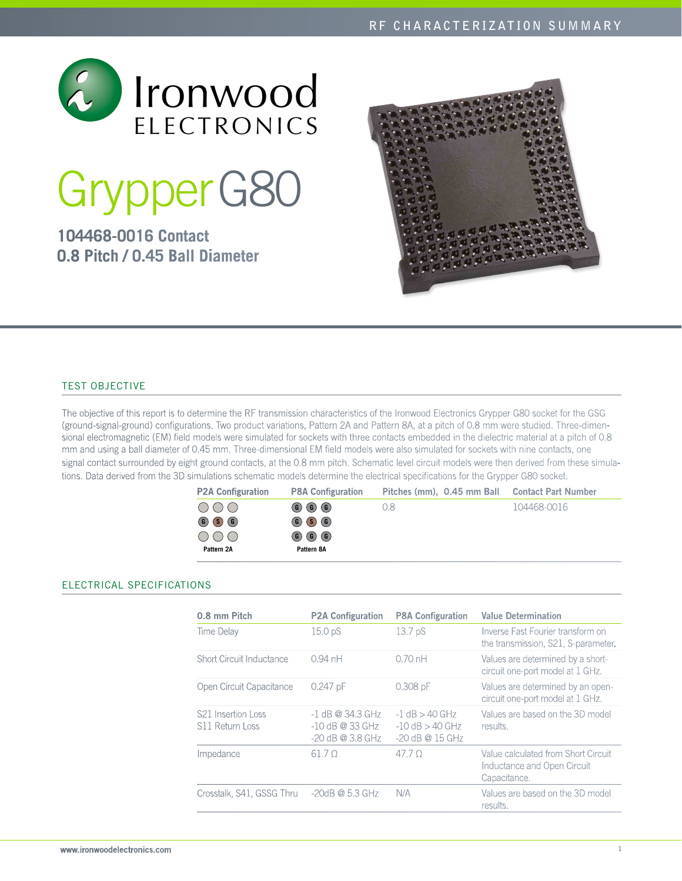

# GrypperG80

# **104468-0016 Contact 0.8 Pitch / 0.45 Ball Diameter**



# Test Objective

The objective of this report is to determine the RF transmission characteristics of the Ironwood Electronics Grypper G80 socket for the GSG (ground-signal-ground) configurations. Two product variations, Pattern 2A and Pattern 8A, at a pitch of 0.8 mm were studied. Three-dimensional electromagnetic (EM) field models were simulated for sockets with three contacts embedded in the dielectric material at a pitch of 0.8 mm and using a ball diameter of 0.45 mm. Three-dimensional EM field models were also simulated for sockets with nine contacts, one signal contact surrounded by eight ground contacts, at the 0.8 mm pitch. Schematic level circuit models were then derived from these simulations. Data derived from the 3D simulations schematic models determine the electrical specifications for the Grypper G80 socket.

| <b>P2A Configuration</b> | <b>P8A Configuration</b>                     | Pitches (mm), 0.45 mm Ball Contact Part Number |             |
|--------------------------|----------------------------------------------|------------------------------------------------|-------------|
| $\bigcirc$               | $\circled{G}$ $\circled{G}$ $\circled{G}$    | 0.8                                            | 104468-0016 |
| $\circ$ $\circ$ $\circ$  | $\circ$ $\circ$ $\circ$                      |                                                |             |
| 000                      | $\circledcirc$ $\circledcirc$ $\circledcirc$ |                                                |             |
| Pattern 2A               | Pattern 8A                                   |                                                |             |

# Electrical SPECIFICATIONS

| 0.8 mm Pitch                                      | <b>P2A Configuration</b>                                      | <b>P8A Configuration</b>                                       | <b>Value Determination</b>                                                         |
|---------------------------------------------------|---------------------------------------------------------------|----------------------------------------------------------------|------------------------------------------------------------------------------------|
| Time Delay                                        | 15.0 pS                                                       | 13.7 <sub>p</sub> S                                            | Inverse Fast Fourier transform on<br>the transmission, S21, S-parameter.           |
| Short Circuit Inductance                          | $0.94$ nH                                                     | $0.70$ nH                                                      | Values are determined by a short-<br>circuit one-port model at 1 GHz.              |
| Open Circuit Capacitance                          | $0.247$ pF                                                    | $0.308$ pF                                                     | Values are determined by an open-<br>circuit one-port model at 1 GHz.              |
| S <sub>21</sub> Insertion Loss<br>S11 Return Loss | $-1$ dB @ 34.3 GHz<br>$-10$ dB @ 33 GHz<br>$-20$ dB @ 3.8 GHz | $-1$ dB $>$ 40 GHz<br>$-10$ dB $>$ 40 GHz<br>$-20$ dB @ 15 GHz | Values are based on the 3D model<br>results.                                       |
| Impedance                                         | 61.70                                                         | 47.7 O                                                         | Value calculated from Short Circuit<br>Inductance and Open Circuit<br>Capacitance. |
| Crosstalk, S41, GSSG Thru                         | $-20$ dB @ 5.3 GHz                                            | N/A                                                            | Values are based on the 3D model<br>results.                                       |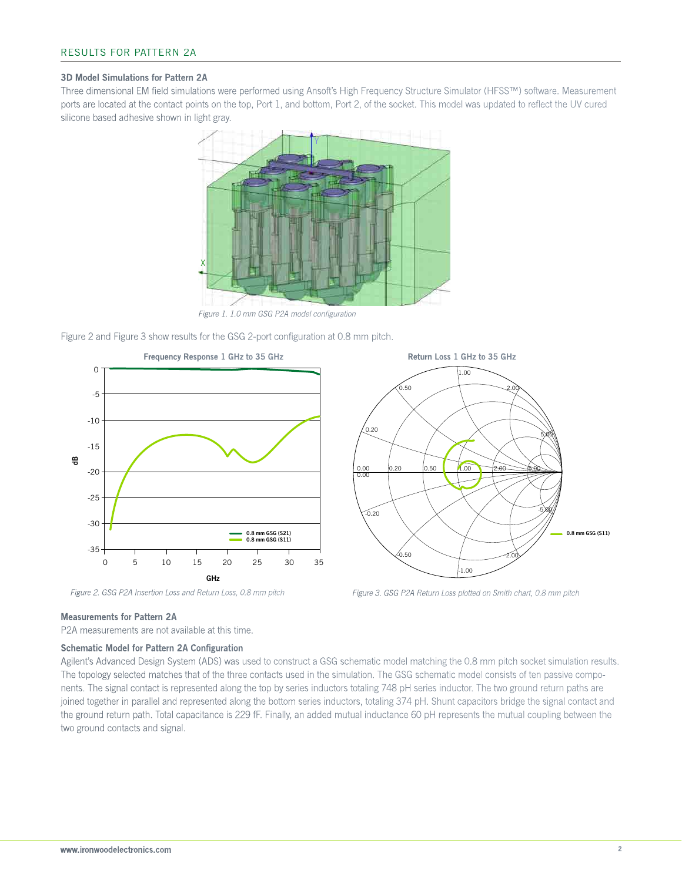#### 3D Model Simulations for Pattern 2A

Three dimensional EM field simulations were performed using Ansoft's High Frequency Structure Simulator (HFSS™) software. Measurement ports are located at the contact points on the top, Port 1, and bottom, Port 2, of the socket. This model was updated to reflect the UV cured silicone based adhesive shown in light gray.



*Figure 1. 1.0 mm GSG P2A model configuration*

Figure 2 and Figure 3 show results for the GSG 2-port configuration at 0.8 mm pitch.



# 0.00 0.00  $0.20$   $0.50$   $1.00$   $2.00$   $5.00$ 0.20 0.50  $0<sub>0</sub>$ 2.00 5.00  $-0.20$ -0.50 -1.00 -2.00 -5.00 0.8 mm GSG (S11)

*Figure 2. GSG P2A Insertion Loss and Return Loss, 0.8 mm pitch Figure 3. GSG P2A Return Loss plotted on Smith chart, 0.8 mm pitch*

#### Measurements for Pattern 2A

P2A measurements are not available at this time.

#### Schematic Model for Pattern 2A Configuration

Agilent's Advanced Design System (ADS) was used to construct a GSG schematic model matching the 0.8 mm pitch socket simulation results. The topology selected matches that of the three contacts used in the simulation. The GSG schematic model consists of ten passive components. The signal contact is represented along the top by series inductors totaling 748 pH series inductor. The two ground return paths are joined together in parallel and represented along the bottom series inductors, totaling 374 pH. Shunt capacitors bridge the signal contact and the ground return path. Total capacitance is 229 fF. Finally, an added mutual inductance 60 pH represents the mutual coupling between the two ground contacts and signal.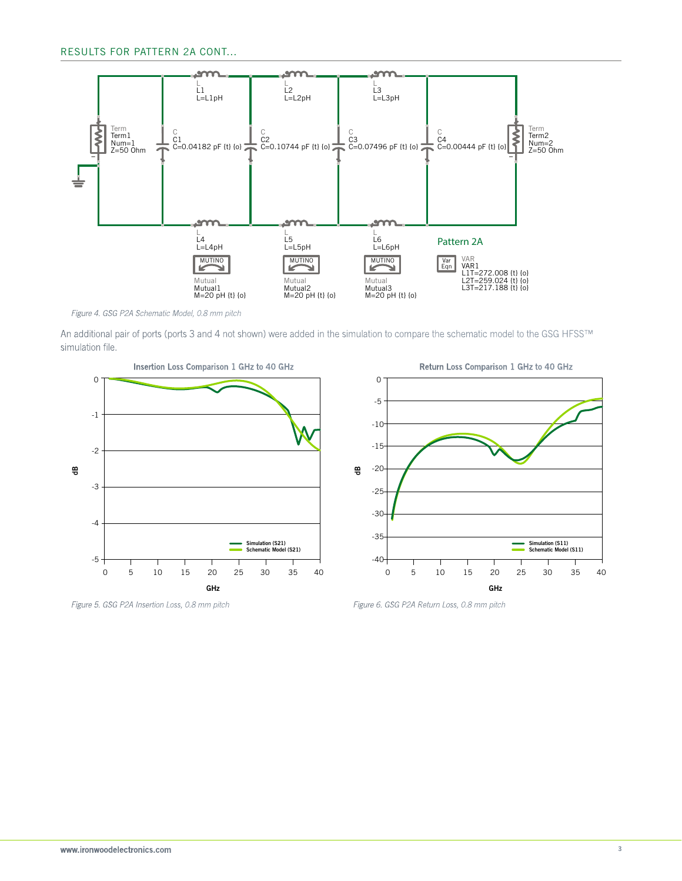

*Figure 4. GSG P2A Schematic Model, 0.8 mm pitch*

An additional pair of ports (ports 3 and 4 not shown) were added in the simulation to compare the schematic model to the GSG HFSS™ simulation file.





*Figure 5. GSG P2A Insertion Loss, 0.8 mm pitch Figure 6. GSG P2A Return Loss, 0.8 mm pitch*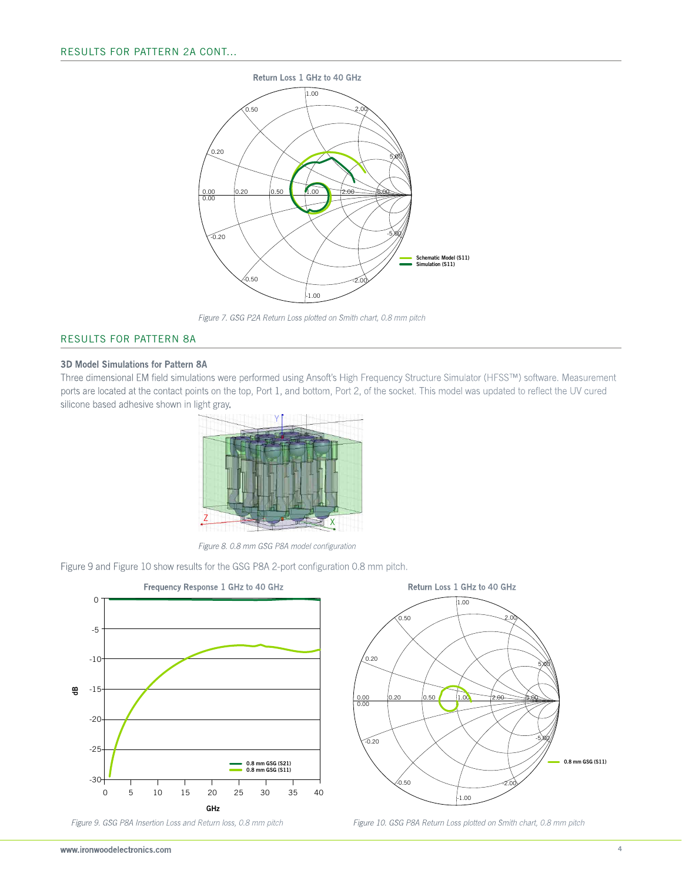

*Figure 7. GSG P2A Return Loss plotted on Smith chart, 0.8 mm pitch*

### Results for Pattern 8A

#### 3D Model Simulations for Pattern 8A

Three dimensional EM field simulations were performed using Ansoft's High Frequency Structure Simulator (HFSS™) software. Measurement ports are located at the contact points on the top, Port 1, and bottom, Port 2, of the socket. This model was updated to reflect the UV cured silicone based adhesive shown in light gray.



*Figure 8. 0.8 mm GSG P8A model configuration*

Figure 9 and Figure 10 show results for the GSG P8A 2-port configuration 0.8 mm pitch.





*Figure 9. GSG P8A Insertion Loss and Return loss, 0.8 mm pitch Figure 10. GSG P8A Return Loss plotted on Smith chart, 0.8 mm pitch*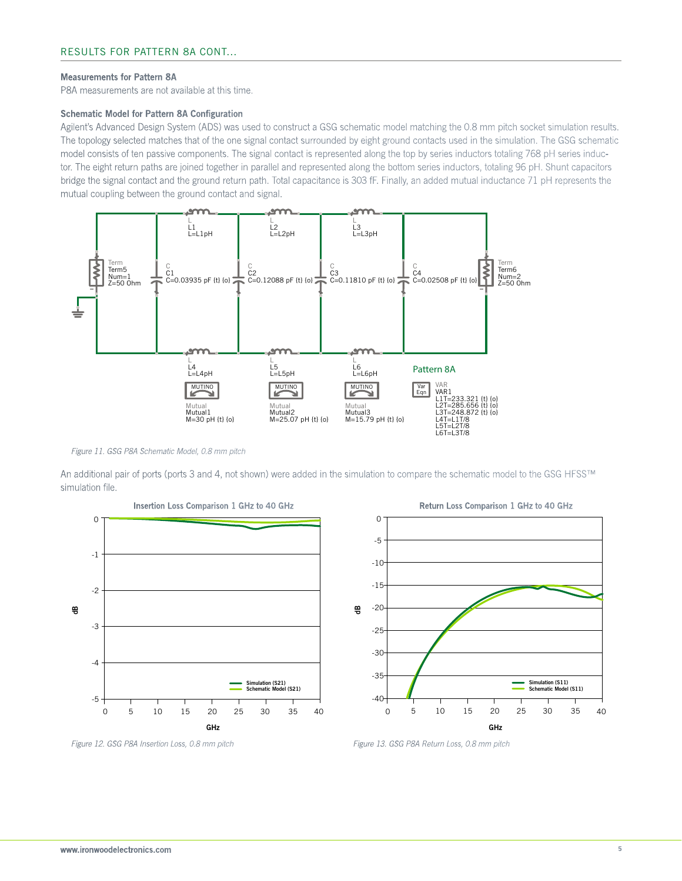#### Measurements for Pattern 8A

P8A measurements are not available at this time.

#### Schematic Model for Pattern 8A Configuration

Agilent's Advanced Design System (ADS) was used to construct a GSG schematic model matching the 0.8 mm pitch socket simulation results. The topology selected matches that of the one signal contact surrounded by eight ground contacts used in the simulation. The GSG schematic model consists of ten passive components. The signal contact is represented along the top by series inductors totaling 768 pH series inductor. The eight return paths are joined together in parallel and represented along the bottom series inductors, totaling 96 pH. Shunt capacitors bridge the signal contact and the ground return path. Total capacitance is 303 fF. Finally, an added mutual inductance 71 pH represents the mutual coupling between the ground contact and signal.



*Figure 11. GSG P8A Schematic Model, 0.8 mm pitch*

An additional pair of ports (ports 3 and 4, not shown) were added in the simulation to compare the schematic model to the GSG HFSS™ simulation file.





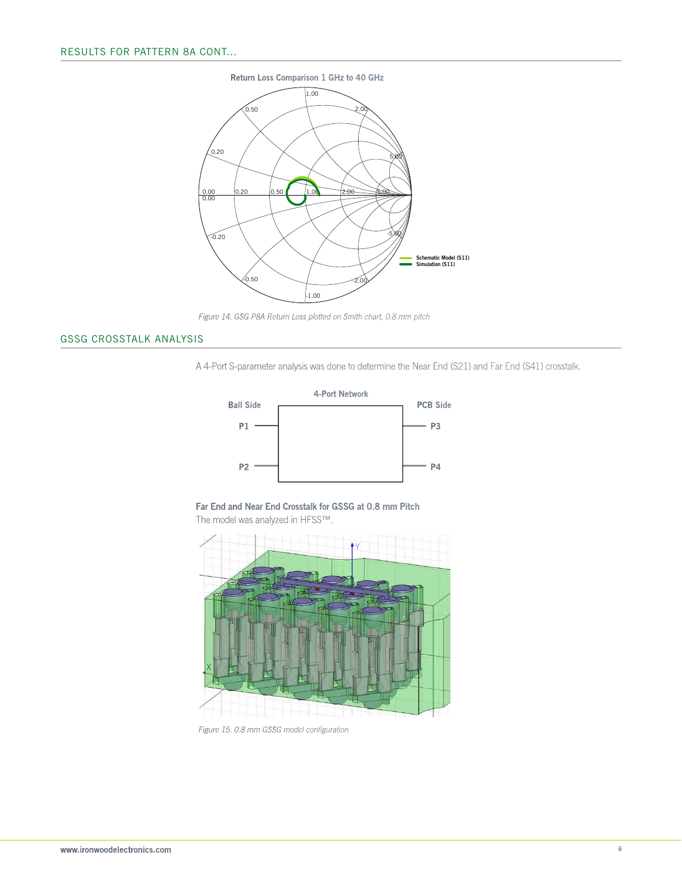

*Figure 14. GSG P8A Return Loss plotted on Smith chart, 0.8 mm pitch*

# GSSG Crosstalk Analysis

A 4-Port S-parameter analysis was done to determine the Near End (S21) and Far End (S41) crosstalk.



Far End and Near End Crosstalk for GSSG at 0.8 mm Pitch The model was analyzed in HFSS™.



*Figure 15. 0.8 mm GSSG model configuration*